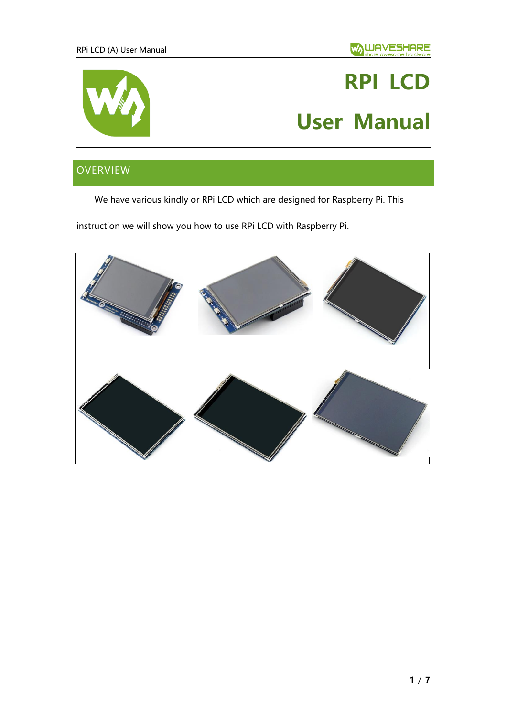

# **RPI LCD User Manual**

# <span id="page-0-0"></span>OVERVIEW

We have various kindly or RPi LCD which are designed for Raspberry Pi. This

instruction we will show you how to use RPi LCD with Raspberry Pi.

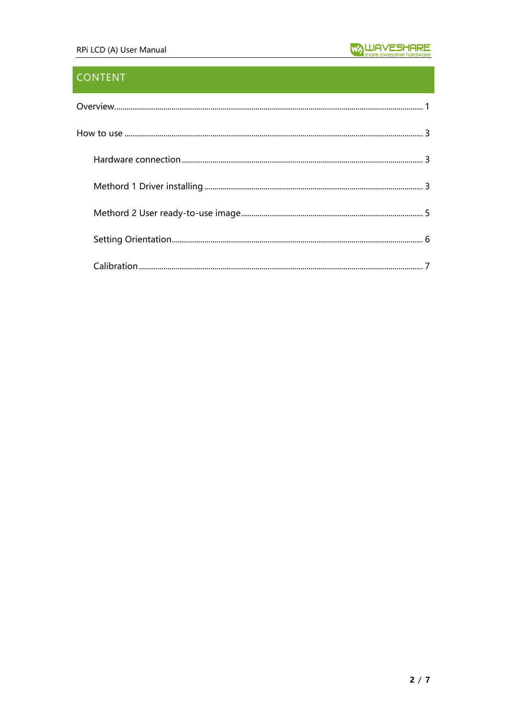## **CONTENT**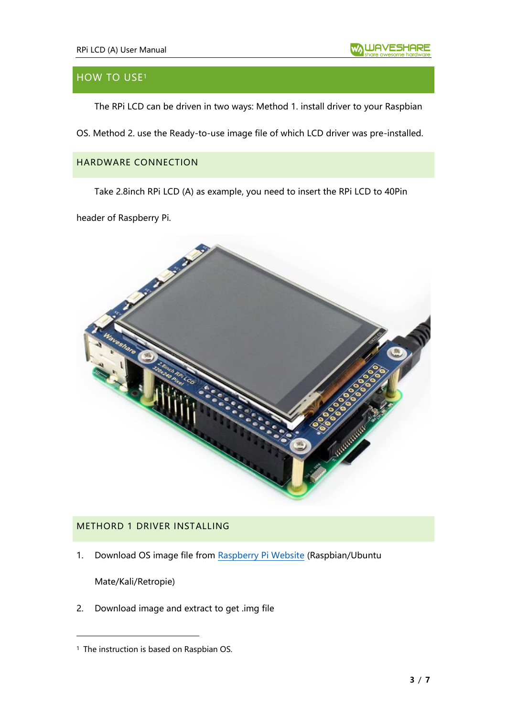### <span id="page-2-0"></span>**HOW TO USE<sup>1</sup>**

The RPi LCD can be driven in two ways: Method 1. install driver to your Raspbian

OS. Method 2. use the Ready-to-use image file of which LCD driver was pre-installed.

#### <span id="page-2-1"></span>HARDWARE CONNECTION

Take 2.8inch RPi LCD (A) as example, you need to insert the RPi LCD to 40Pin

header of Raspberry Pi.



#### <span id="page-2-2"></span>METHORD 1 DRIVER INSTALLING

1. Download OS image file from [Raspberry Pi Website](https://www.raspberrypi.org/downloads/) (Raspbian/Ubuntu

Mate/Kali/Retropie)

2. Download image and extract to get .img file

<sup>&</sup>lt;sup>1</sup> The instruction is based on Raspbian OS.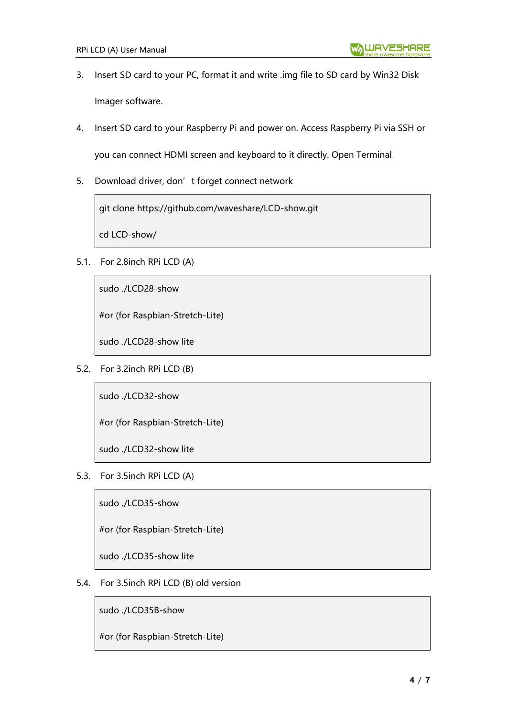- 3. Insert SD card to your PC, format it and write .img file to SD card by Win32 Disk Imager software.
- 4. Insert SD card to your Raspberry Pi and power on. Access Raspberry Pi via SSH or

you can connect HDMI screen and keyboard to it directly. Open Terminal

5. Download driver, don't forget connect network

git clone https://github.com/waveshare/LCD-show.git

cd LCD-show/

5.1. For 2.8inch RPi LCD (A)

sudo ./LCD28-show

#or (for Raspbian-Stretch-Lite)

sudo ./LCD28-show lite

5.2. For 3.2inch RPi LCD (B)

sudo ./LCD32-show

#or (for Raspbian-Stretch-Lite)

sudo ./LCD32-show lite

5.3. For 3.5inch RPi LCD (A)

sudo ./LCD35-show

#or (for Raspbian-Stretch-Lite)

sudo ./LCD35-show lite

5.4. For 3.5inch RPi LCD (B) old version

sudo ./LCD35B-show

#or (for Raspbian-Stretch-Lite)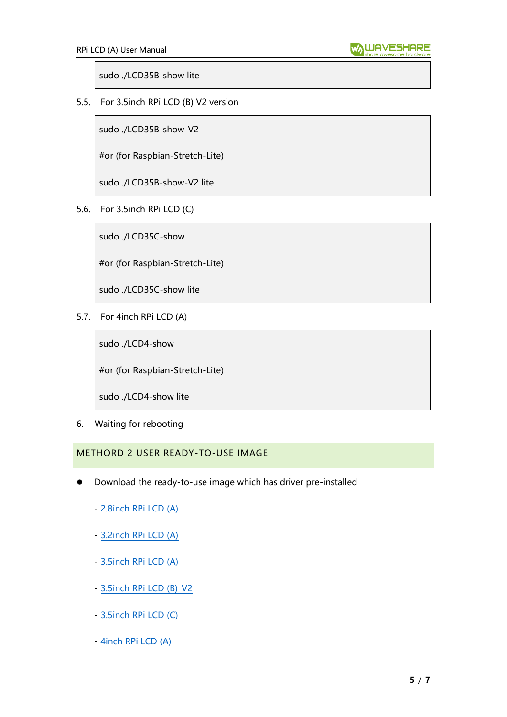sudo ./LCD35B-show lite

5.5. For 3.5inch RPi LCD (B) V2 version

sudo ./LCD35B-show-V2

#or (for Raspbian-Stretch-Lite)

sudo ./LCD35B-show-V2 lite

5.6. For 3.5inch RPi LCD (C)

sudo ./LCD35C-show

#or (for Raspbian-Stretch-Lite)

sudo ./LCD35C-show lite

5.7. For 4inch RPi LCD (A)

sudo ./LCD4-show

#or (for Raspbian-Stretch-Lite)

sudo ./LCD4-show lite

6. Waiting for rebooting

<span id="page-4-0"></span>METHORD 2 USER READY-TO-USE IMAGE

- ⚫ Download the ready-to-use image which has driver pre-installed
	- [2.8inch RPi LCD \(A\)](https://drive.google.com/open?id=1apqQagVeSFCVJMTkSqF04zZJUFG1GZ_N)
	- [3.2inch RPi LCD \(A\)](https://drive.google.com/open?id=1apqQagVeSFCVJMTkSqF04zZJUFG1GZ_N)
	- [3.5inch RPi LCD \(A\)](https://drive.google.com/open?id=1xsvANujoImwVQvdf0n7IiUjP8BuCe2GK)
	- 3.5inch RPi LCD (B) V2
	- [3.5inch RPi LCD \(C\)](https://drive.google.com/open?id=1O878BkdvS_wLVvTSg9roaHw7wJx25q0U)
	- [4inch RPi LCD \(A\)](https://drive.google.com/open?id=1y8Lh-i-ju6-p-kcO2JGsmPWQAAWZ3xMl)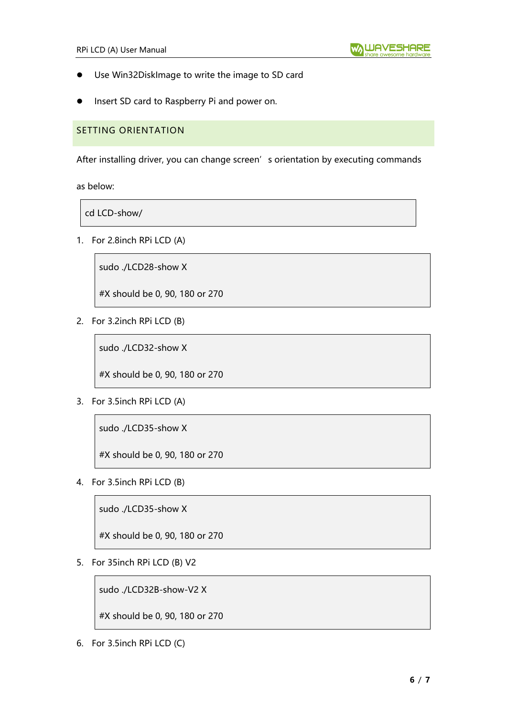- ⚫ Use Win32DiskImage to write the image to SD card
- Insert SD card to Raspberry Pi and power on.

#### <span id="page-5-0"></span>SETTING ORIENTATION

After installing driver, you can change screen's orientation by executing commands

as below:

cd LCD-show/

1. For 2.8inch RPi LCD (A)

sudo ./LCD28-show X

#X should be 0, 90, 180 or 270

2. For 3.2inch RPi LCD (B)

sudo ./LCD32-show X

#X should be 0, 90, 180 or 270

3. For 3.5inch RPi LCD (A)

sudo ./LCD35-show X

#X should be 0, 90, 180 or 270

4. For 3.5inch RPi LCD (B)

sudo ./LCD35-show X

#X should be 0, 90, 180 or 270

5. For 35inch RPi LCD (B) V2

sudo ./LCD32B-show-V2 X

#X should be 0, 90, 180 or 270

6. For 3.5inch RPi LCD (C)